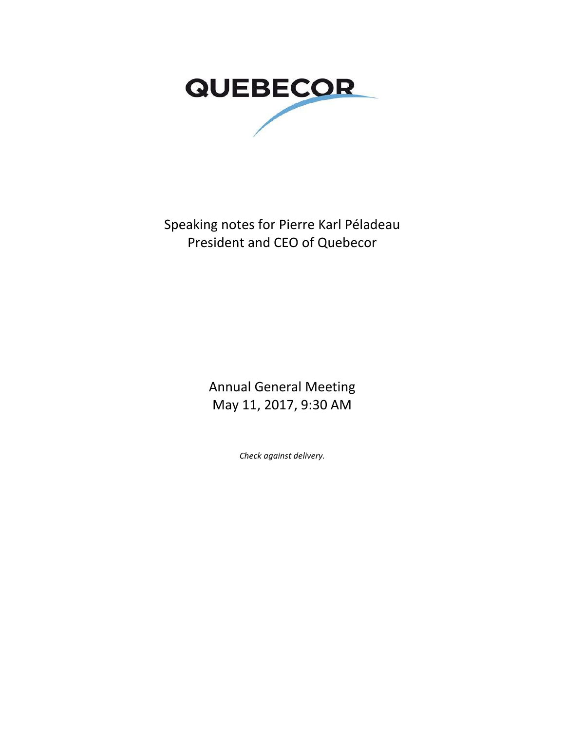

Speaking notes for Pierre Karl Péladeau President and CEO of Quebecor

> Annual General Meeting May 11, 2017, 9:30 AM

> > *Check against delivery.*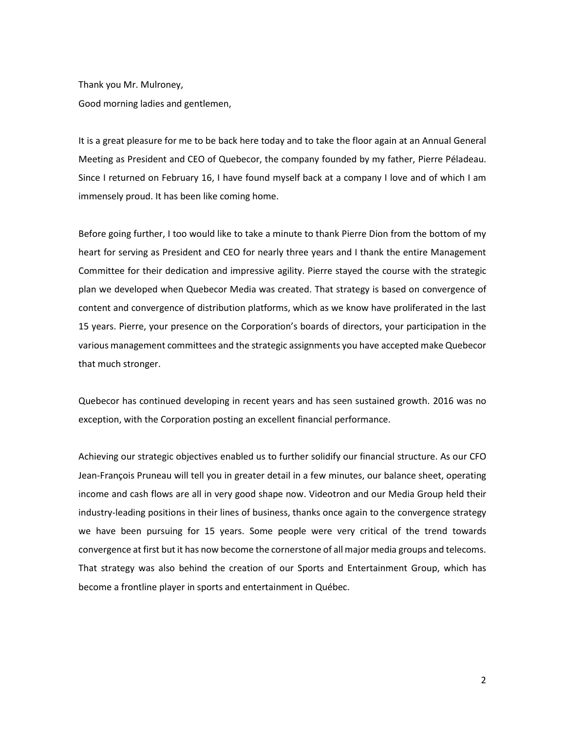Thank you Mr. Mulroney, Good morning ladies and gentlemen,

It is a great pleasure for me to be back here today and to take the floor again at an Annual General Meeting as President and CEO of Quebecor, the company founded by my father, Pierre Péladeau. Since I returned on February 16, I have found myself back at a company I love and of which I am immensely proud. It has been like coming home.

Before going further, I too would like to take a minute to thank Pierre Dion from the bottom of my heart for serving as President and CEO for nearly three years and I thank the entire Management Committee for their dedication and impressive agility. Pierre stayed the course with the strategic plan we developed when Quebecor Media was created. That strategy is based on convergence of content and convergence of distribution platforms, which as we know have proliferated in the last 15 years. Pierre, your presence on the Corporation's boards of directors, your participation in the various management committees and the strategic assignments you have accepted make Quebecor that much stronger.

Quebecor has continued developing in recent years and has seen sustained growth. 2016 was no exception, with the Corporation posting an excellent financial performance.

Achieving our strategic objectives enabled us to further solidify our financial structure. As our CFO Jean-François Pruneau will tell you in greater detail in a few minutes, our balance sheet, operating income and cash flows are all in very good shape now. Videotron and our Media Group held their industry-leading positions in their lines of business, thanks once again to the convergence strategy we have been pursuing for 15 years. Some people were very critical of the trend towards convergence at first but it has now become the cornerstone of all major media groups and telecoms. That strategy was also behind the creation of our Sports and Entertainment Group, which has become a frontline player in sports and entertainment in Québec.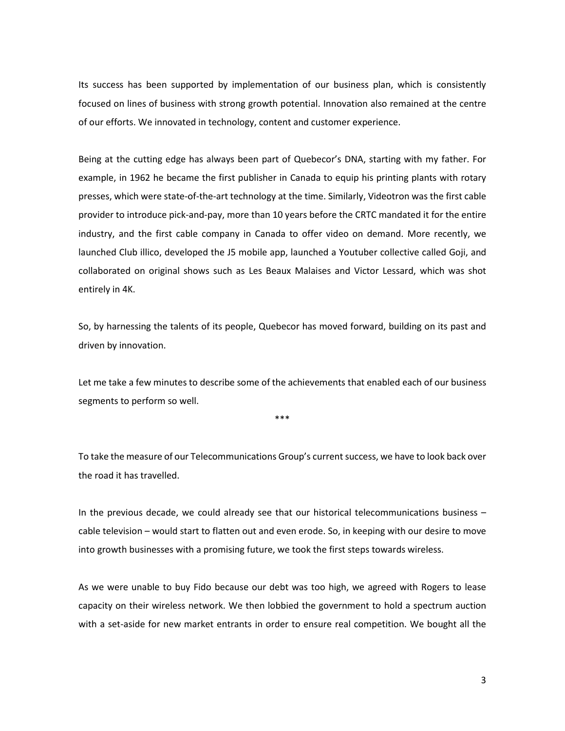Its success has been supported by implementation of our business plan, which is consistently focused on lines of business with strong growth potential. Innovation also remained at the centre of our efforts. We innovated in technology, content and customer experience.

Being at the cutting edge has always been part of Quebecor's DNA, starting with my father. For example, in 1962 he became the first publisher in Canada to equip his printing plants with rotary presses, which were state-of-the-art technology at the time. Similarly, Videotron was the first cable provider to introduce pick-and-pay, more than 10 years before the CRTC mandated it for the entire industry, and the first cable company in Canada to offer video on demand. More recently, we launched Club illico, developed the J5 mobile app, launched a Youtuber collective called Goji, and collaborated on original shows such as Les Beaux Malaises and Victor Lessard, which was shot entirely in 4K.

So, by harnessing the talents of its people, Quebecor has moved forward, building on its past and driven by innovation.

Let me take a few minutes to describe some of the achievements that enabled each of our business segments to perform so well.

\*\*\*

To take the measure of our Telecommunications Group's current success, we have to look back over the road it has travelled.

In the previous decade, we could already see that our historical telecommunications business – cable television – would start to flatten out and even erode. So, in keeping with our desire to move into growth businesses with a promising future, we took the first steps towards wireless.

As we were unable to buy Fido because our debt was too high, we agreed with Rogers to lease capacity on their wireless network. We then lobbied the government to hold a spectrum auction with a set-aside for new market entrants in order to ensure real competition. We bought all the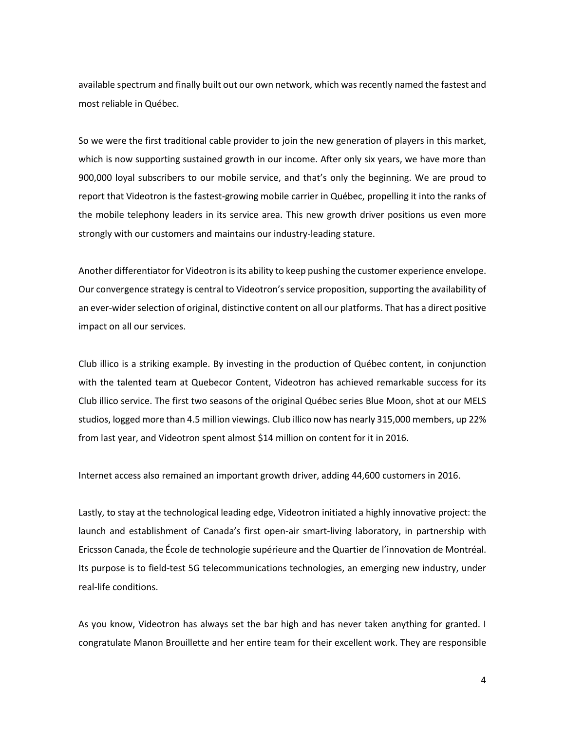available spectrum and finally built out our own network, which was recently named the fastest and most reliable in Québec.

So we were the first traditional cable provider to join the new generation of players in this market, which is now supporting sustained growth in our income. After only six years, we have more than 900,000 loyal subscribers to our mobile service, and that's only the beginning. We are proud to report that Videotron is the fastest-growing mobile carrier in Québec, propelling it into the ranks of the mobile telephony leaders in its service area. This new growth driver positions us even more strongly with our customers and maintains our industry-leading stature.

Another differentiator for Videotron is its ability to keep pushing the customer experience envelope. Our convergence strategy is central to Videotron's service proposition, supporting the availability of an ever-wider selection of original, distinctive content on all our platforms. That has a direct positive impact on all our services.

Club illico is a striking example. By investing in the production of Québec content, in conjunction with the talented team at Quebecor Content, Videotron has achieved remarkable success for its Club illico service. The first two seasons of the original Québec series Blue Moon, shot at our MELS studios, logged more than 4.5 million viewings. Club illico now has nearly 315,000 members, up 22% from last year, and Videotron spent almost \$14 million on content for it in 2016.

Internet access also remained an important growth driver, adding 44,600 customers in 2016.

Lastly, to stay at the technological leading edge, Videotron initiated a highly innovative project: the launch and establishment of Canada's first open-air smart-living laboratory, in partnership with Ericsson Canada, the École de technologie supérieure and the Quartier de l'innovation de Montréal. Its purpose is to field-test 5G telecommunications technologies, an emerging new industry, under real-life conditions.

As you know, Videotron has always set the bar high and has never taken anything for granted. I congratulate Manon Brouillette and her entire team for their excellent work. They are responsible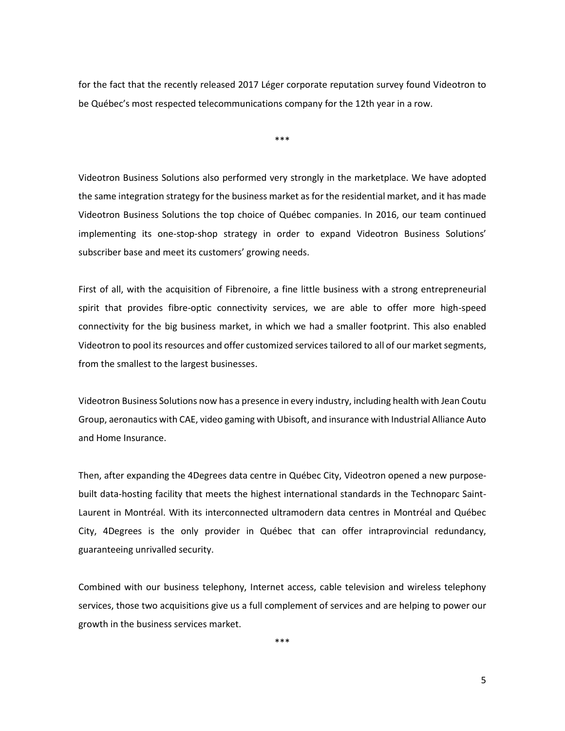for the fact that the recently released 2017 Léger corporate reputation survey found Videotron to be Québec's most respected telecommunications company for the 12th year in a row.

\*\*\*

Videotron Business Solutions also performed very strongly in the marketplace. We have adopted the same integration strategy for the business market as for the residential market, and it has made Videotron Business Solutions the top choice of Québec companies. In 2016, our team continued implementing its one-stop-shop strategy in order to expand Videotron Business Solutions' subscriber base and meet its customers' growing needs.

First of all, with the acquisition of Fibrenoire, a fine little business with a strong entrepreneurial spirit that provides fibre-optic connectivity services, we are able to offer more high-speed connectivity for the big business market, in which we had a smaller footprint. This also enabled Videotron to pool its resources and offer customized services tailored to all of our market segments, from the smallest to the largest businesses.

Videotron Business Solutions now has a presence in every industry, including health with Jean Coutu Group, aeronautics with CAE, video gaming with Ubisoft, and insurance with Industrial Alliance Auto and Home Insurance.

Then, after expanding the 4Degrees data centre in Québec City, Videotron opened a new purposebuilt data-hosting facility that meets the highest international standards in the Technoparc Saint-Laurent in Montréal. With its interconnected ultramodern data centres in Montréal and Québec City, 4Degrees is the only provider in Québec that can offer intraprovincial redundancy, guaranteeing unrivalled security.

Combined with our business telephony, Internet access, cable television and wireless telephony services, those two acquisitions give us a full complement of services and are helping to power our growth in the business services market.

\*\*\*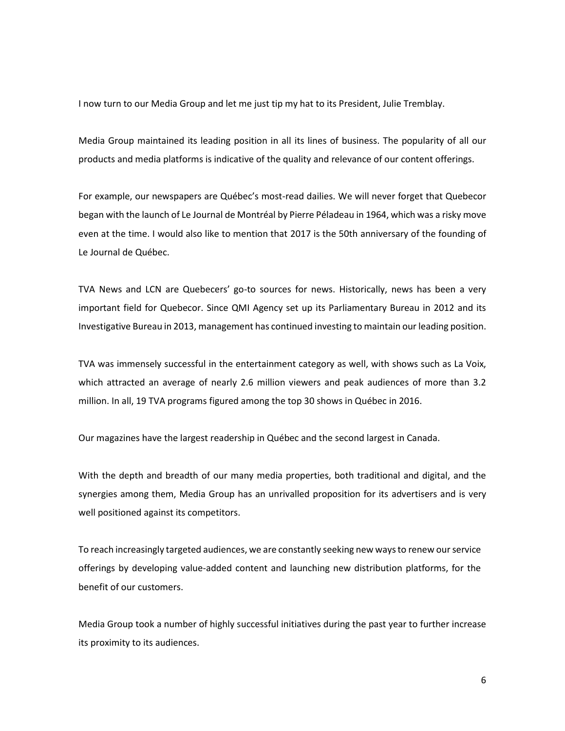I now turn to our Media Group and let me just tip my hat to its President, Julie Tremblay.

Media Group maintained its leading position in all its lines of business. The popularity of all our products and media platforms is indicative of the quality and relevance of our content offerings.

For example, our newspapers are Québec's most-read dailies. We will never forget that Quebecor began with the launch of Le Journal de Montréal by Pierre Péladeau in 1964, which was a risky move even at the time. I would also like to mention that 2017 is the 50th anniversary of the founding of Le Journal de Québec.

TVA News and LCN are Quebecers' go-to sources for news. Historically, news has been a very important field for Quebecor. Since QMI Agency set up its Parliamentary Bureau in 2012 and its Investigative Bureau in 2013, management has continued investing to maintain our leading position.

TVA was immensely successful in the entertainment category as well, with shows such as La Voix, which attracted an average of nearly 2.6 million viewers and peak audiences of more than 3.2 million. In all, 19 TVA programs figured among the top 30 shows in Québec in 2016.

Our magazines have the largest readership in Québec and the second largest in Canada.

With the depth and breadth of our many media properties, both traditional and digital, and the synergies among them, Media Group has an unrivalled proposition for its advertisers and is very well positioned against its competitors.

To reach increasingly targeted audiences, we are constantly seeking new ways to renew our service offerings by developing value-added content and launching new distribution platforms, for the benefit of our customers.

Media Group took a number of highly successful initiatives during the past year to further increase its proximity to its audiences.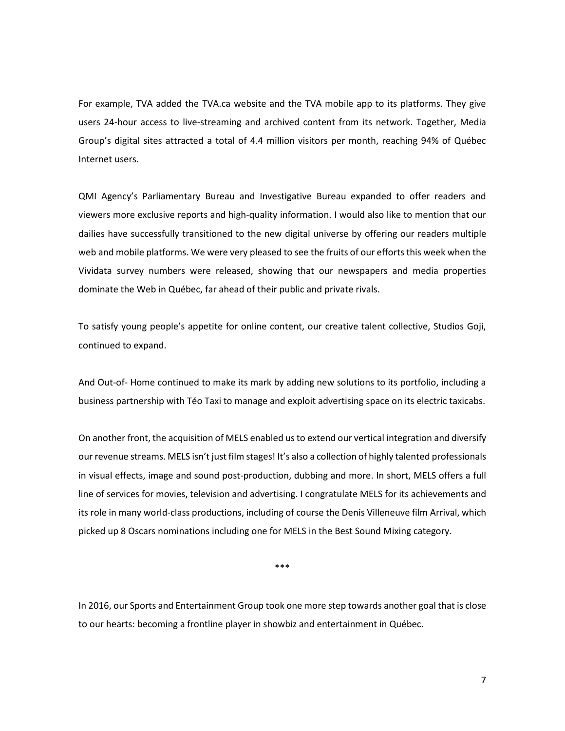For example, TVA added the TVA.ca website and the TVA mobile app to its platforms. They give users 24-hour access to live-streaming and archived content from its network. Together, Media Group's digital sites attracted a total of 4.4 million visitors per month, reaching 94% of Québec Internet users.

QMI Agency's Parliamentary Bureau and Investigative Bureau expanded to offer readers and viewers more exclusive reports and high-quality information. I would also like to mention that our dailies have successfully transitioned to the new digital universe by offering our readers multiple web and mobile platforms. We were very pleased to see the fruits of our efforts this week when the Vividata survey numbers were released, showing that our newspapers and media properties dominate the Web in Québec, far ahead of their public and private rivals.

To satisfy young people's appetite for online content, our creative talent collective, Studios Goji, continued to expand.

And Out-of- Home continued to make its mark by adding new solutions to its portfolio, including a business partnership with Téo Taxi to manage and exploit advertising space on its electric taxicabs.

On another front, the acquisition of MELS enabled us to extend our vertical integration and diversify our revenue streams. MELS isn't just film stages! It's also a collection of highly talented professionals in visual effects, image and sound post-production, dubbing and more. In short, MELS offers a full line of services for movies, television and advertising. I congratulate MELS for its achievements and its role in many world-class productions, including of course the Denis Villeneuve film Arrival, which picked up 8 Oscars nominations including one for MELS in the Best Sound Mixing category.

\*\*\*

In 2016, our Sports and Entertainment Group took one more step towards another goal that is close to our hearts: becoming a frontline player in showbiz and entertainment in Québec.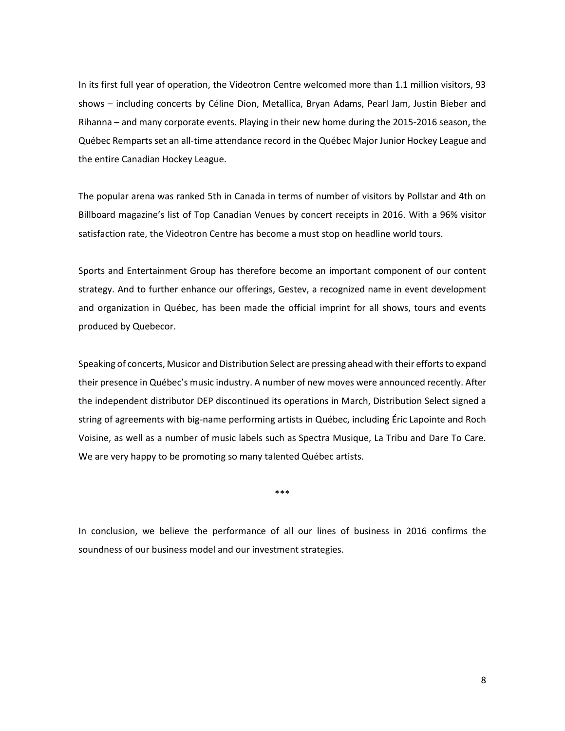In its first full year of operation, the Videotron Centre welcomed more than 1.1 million visitors, 93 shows – including concerts by Céline Dion, Metallica, Bryan Adams, Pearl Jam, Justin Bieber and Rihanna – and many corporate events. Playing in their new home during the 2015-2016 season, the Québec Remparts set an all-time attendance record in the Québec Major Junior Hockey League and the entire Canadian Hockey League.

The popular arena was ranked 5th in Canada in terms of number of visitors by Pollstar and 4th on Billboard magazine's list of Top Canadian Venues by concert receipts in 2016. With a 96% visitor satisfaction rate, the Videotron Centre has become a must stop on headline world tours.

Sports and Entertainment Group has therefore become an important component of our content strategy. And to further enhance our offerings, Gestev, a recognized name in event development and organization in Québec, has been made the official imprint for all shows, tours and events produced by Quebecor.

Speaking of concerts, Musicor and Distribution Select are pressing ahead with their efforts to expand their presence in Québec's music industry. A number of new moves were announced recently. After the independent distributor DEP discontinued its operations in March, Distribution Select signed a string of agreements with big-name performing artists in Québec, including Éric Lapointe and Roch Voisine, as well as a number of music labels such as Spectra Musique, La Tribu and Dare To Care. We are very happy to be promoting so many talented Québec artists.

\*\*\*

In conclusion, we believe the performance of all our lines of business in 2016 confirms the soundness of our business model and our investment strategies.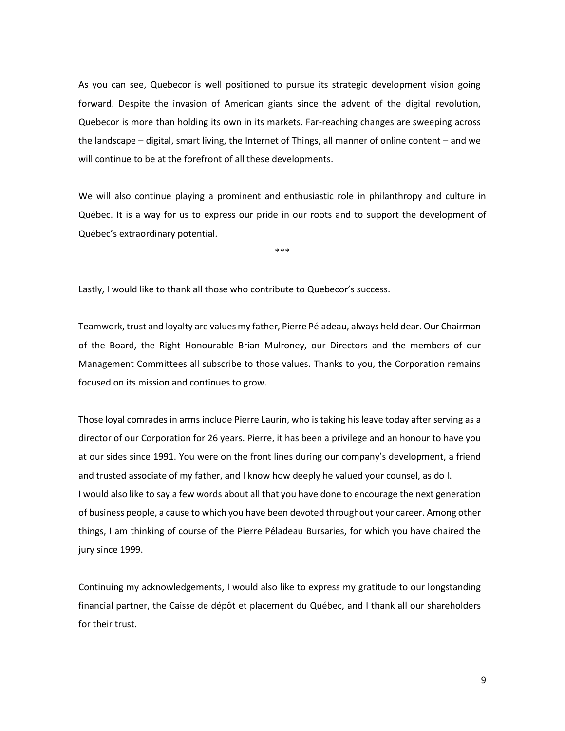As you can see, Quebecor is well positioned to pursue its strategic development vision going forward. Despite the invasion of American giants since the advent of the digital revolution, Quebecor is more than holding its own in its markets. Far-reaching changes are sweeping across the landscape – digital, smart living, the Internet of Things, all manner of online content – and we will continue to be at the forefront of all these developments.

We will also continue playing a prominent and enthusiastic role in philanthropy and culture in Québec. It is a way for us to express our pride in our roots and to support the development of Québec's extraordinary potential.

\*\*\*

Lastly, I would like to thank all those who contribute to Quebecor's success.

Teamwork, trust and loyalty are values my father, Pierre Péladeau, always held dear. Our Chairman of the Board, the Right Honourable Brian Mulroney, our Directors and the members of our Management Committees all subscribe to those values. Thanks to you, the Corporation remains focused on its mission and continues to grow.

Those loyal comrades in arms include Pierre Laurin, who is taking his leave today after serving as a director of our Corporation for 26 years. Pierre, it has been a privilege and an honour to have you at our sides since 1991. You were on the front lines during our company's development, a friend and trusted associate of my father, and I know how deeply he valued your counsel, as do I. I would also like to say a few words about all that you have done to encourage the next generation of business people, a cause to which you have been devoted throughout your career. Among other things, I am thinking of course of the Pierre Péladeau Bursaries, for which you have chaired the jury since 1999.

Continuing my acknowledgements, I would also like to express my gratitude to our longstanding financial partner, the Caisse de dépôt et placement du Québec, and I thank all our shareholders for their trust.